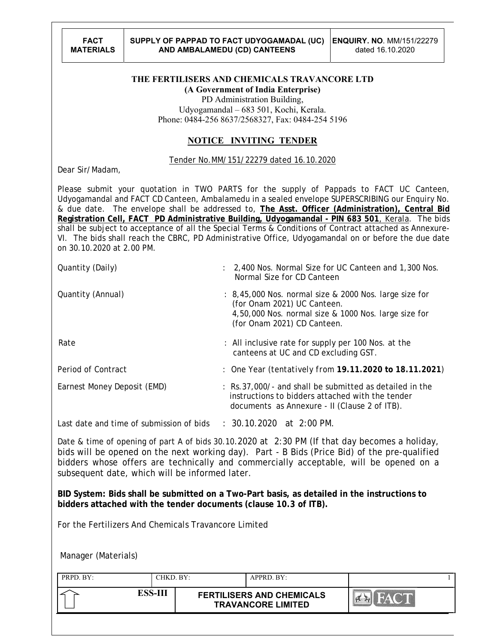## **THE FERTILISERS AND CHEMICALS TRAVANCORE LTD**

**(A Government of India Enterprise)**

PD Administration Building, Udyogamandal – 683 501, Kochi, Kerala. Phone: 0484-256 8637/2568327, Fax: 0484-254 5196

## **NOTICE INVITING TENDER**

## Tender No.MM/151/22279 dated 16.10.2020

Dear Sir/Madam,

Please submit your quotation in TWO PARTS for the supply of Pappads to FACT UC Canteen, Udyogamandal and FACT CD Canteen, Ambalamedu in a sealed envelope SUPERSCRIBING our Enquiry No. & due date. The envelope shall be addressed to, **The Asst. Officer (Administration), Central Bid Registration Cell, FACT PD Administrative Building, Udyogamandal - PIN 683 501**, Kerala. The bids shall be subject to acceptance of all the Special Terms & Conditions of Contract attached as Annexure-VI. The bids shall reach the CBRC, PD Administrative Office, Udyogamandal on or before the due date on 30.10.2020 at 2.00 PM.

| Quantity (Daily)                         | : 2,400 Nos. Normal Size for UC Canteen and 1,300 Nos.<br>Normal Size for CD Canteen                                                                                         |
|------------------------------------------|------------------------------------------------------------------------------------------------------------------------------------------------------------------------------|
| Quantity (Annual)                        | : 8,45,000 Nos. normal size & 2000 Nos. large size for<br>(for Onam 2021) UC Canteen.<br>4,50,000 Nos. normal size & 1000 Nos. large size for<br>(for Onam 2021) CD Canteen. |
| Rate                                     | : All inclusive rate for supply per 100 Nos. at the<br>canteens at UC and CD excluding GST.                                                                                  |
| Period of Contract                       | : One Year (tentatively from 19.11.2020 to 18.11.2021)                                                                                                                       |
| Earnest Money Deposit (EMD)              | : Rs.37,000/- and shall be submitted as detailed in the<br>instructions to bidders attached with the tender<br>documents as Annexure - II (Clause 2 of ITB).                 |
| Last date and time of submission of bids | $: 30.10.2020$ at 2:00 PM.                                                                                                                                                   |

Date & time of opening of part A of bids 30.10.2020 at 2:30 PM (If that day becomes a holiday, bids will be opened on the next working day). Part - B Bids (Price Bid) of the pre-qualified bidders whose offers are technically and commercially acceptable, will be opened on a subsequent date, which will be informed later.

**BID System: Bids shall be submitted on a Two-Part basis, as detailed in the instructions to bidders attached with the tender documents (clause 10.3 of ITB).**

For the Fertilizers And Chemicals Travancore Limited

Manager (Materials)

| PRPD. BY: |         | CHKD. BY: |                                                               | APPRD. BY: |  |
|-----------|---------|-----------|---------------------------------------------------------------|------------|--|
|           | ESS-III |           | <b>FERTILISERS AND CHEMICALS</b><br><b>TRAVANCORE LIMITED</b> |            |  |
|           |         |           |                                                               |            |  |